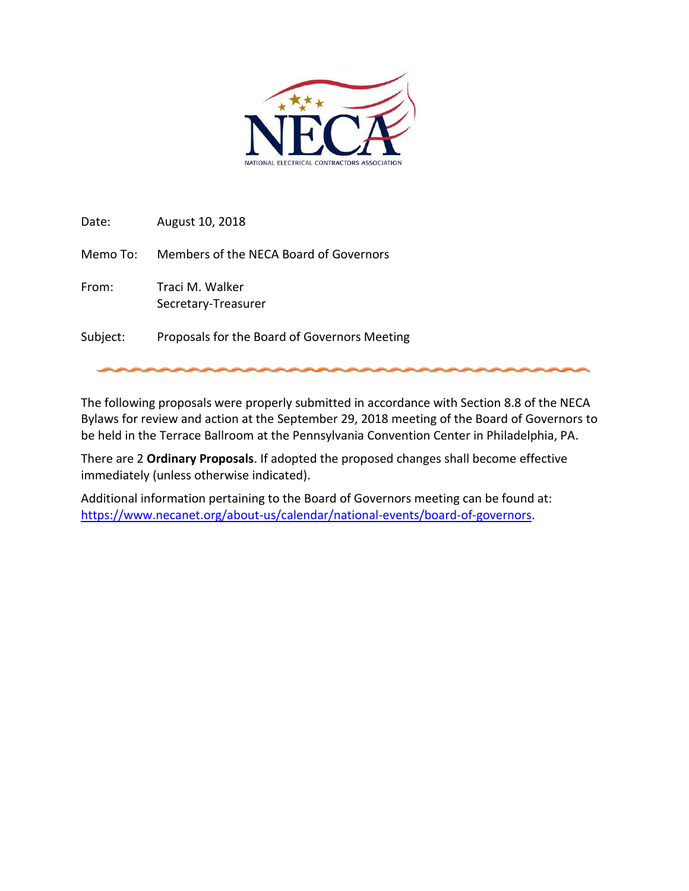

Date: August 10, 2018

Memo To: Members of the NECA Board of Governors

From: Traci M. Walker Secretary-Treasurer

Subject: Proposals for the Board of Governors Meeting

The following proposals were properly submitted in accordance with Section 8.8 of the NECA Bylaws for review and action at the September 29, 2018 meeting of the Board of Governors to be held in the Terrace Ballroom at the Pennsylvania Convention Center in Philadelphia, PA.

There are 2 **Ordinary Proposals**. If adopted the proposed changes shall become effective immediately (unless otherwise indicated).

Additional information pertaining to the Board of Governors meeting can be found at: [https://www.necanet.org/about-us/calendar/national-events/board-of-governors.](https://www.necanet.org/about-us/calendar/national-events/board-of-governors)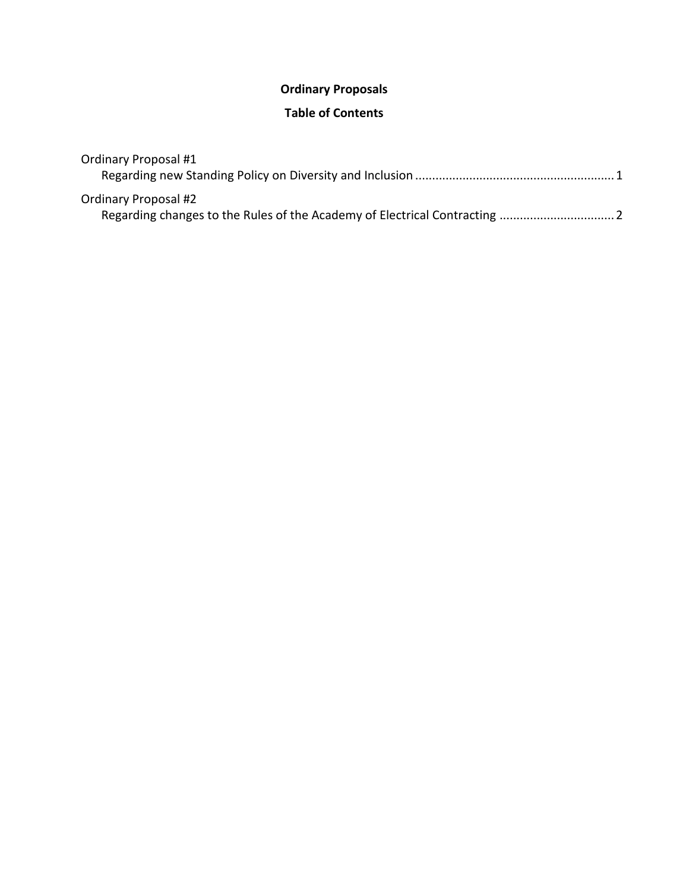# **Ordinary Proposals**

## **Table of Contents**

| <b>Ordinary Proposal #1</b> |  |
|-----------------------------|--|
|                             |  |
| Ordinary Proposal #2        |  |
|                             |  |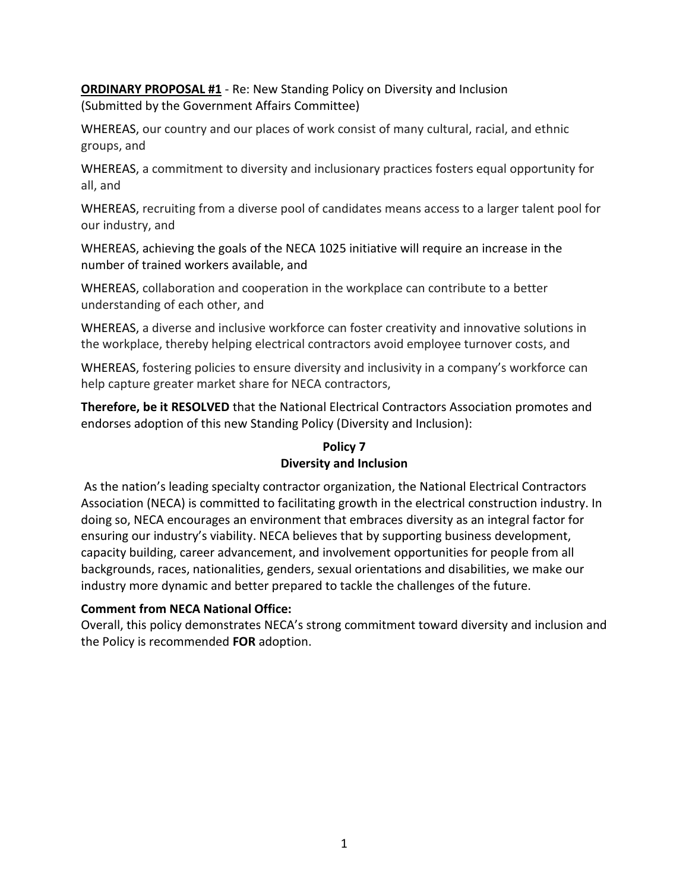**ORDINARY PROPOSAL #1** - Re: New Standing Policy on Diversity and Inclusion (Submitted by the Government Affairs Committee)

WHEREAS, our country and our places of work consist of many cultural, racial, and ethnic groups, and

WHEREAS, a commitment to diversity and inclusionary practices fosters equal opportunity for all, and

WHEREAS, recruiting from a diverse pool of candidates means access to a larger talent pool for our industry, and

WHEREAS, achieving the goals of the NECA 1025 initiative will require an increase in the number of trained workers available, and

WHEREAS, collaboration and cooperation in the workplace can contribute to a better understanding of each other, and

WHEREAS, a diverse and inclusive workforce can foster creativity and innovative solutions in the workplace, thereby helping electrical contractors avoid employee turnover costs, and

WHEREAS, fostering policies to ensure diversity and inclusivity in a company's workforce can help capture greater market share for NECA contractors,

**Therefore, be it RESOLVED** that the National Electrical Contractors Association promotes and endorses adoption of this new Standing Policy (Diversity and Inclusion):

# **Policy 7 Diversity and Inclusion**

As the nation's leading specialty contractor organization, the National Electrical Contractors Association (NECA) is committed to facilitating growth in the electrical construction industry. In doing so, NECA encourages an environment that embraces diversity as an integral factor for ensuring our industry's viability. NECA believes that by supporting business development, capacity building, career advancement, and involvement opportunities for people from all backgrounds, races, nationalities, genders, sexual orientations and disabilities, we make our industry more dynamic and better prepared to tackle the challenges of the future.

## **Comment from NECA National Office:**

Overall, this policy demonstrates NECA's strong commitment toward diversity and inclusion and the Policy is recommended **FOR** adoption.